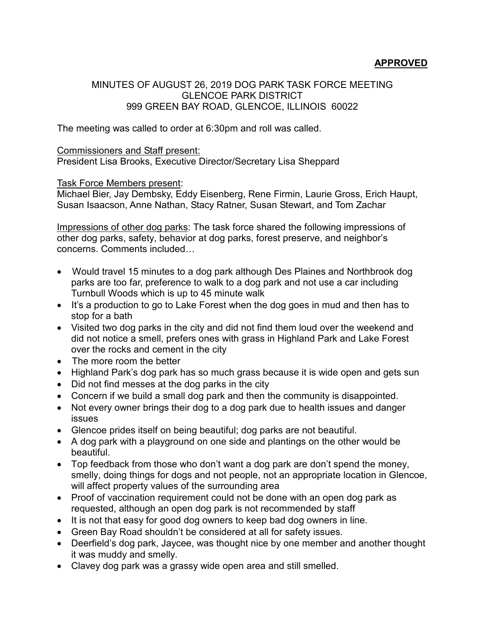## **APPROVED**

## MINUTES OF AUGUST 26, 2019 DOG PARK TASK FORCE MEETING GLENCOE PARK DISTRICT 999 GREEN BAY ROAD, GLENCOE, ILLINOIS 60022

The meeting was called to order at 6:30pm and roll was called.

## Commissioners and Staff present:

President Lisa Brooks, Executive Director/Secretary Lisa Sheppard

## Task Force Members present:

Michael Bier, Jay Dembsky, Eddy Eisenberg, Rene Firmin, Laurie Gross, Erich Haupt, Susan Isaacson, Anne Nathan, Stacy Ratner, Susan Stewart, and Tom Zachar

Impressions of other dog parks: The task force shared the following impressions of other dog parks, safety, behavior at dog parks, forest preserve, and neighbor's concerns. Comments included…

- Would travel 15 minutes to a dog park although Des Plaines and Northbrook dog parks are too far, preference to walk to a dog park and not use a car including Turnbull Woods which is up to 45 minute walk
- It's a production to go to Lake Forest when the dog goes in mud and then has to stop for a bath
- Visited two dog parks in the city and did not find them loud over the weekend and did not notice a smell, prefers ones with grass in Highland Park and Lake Forest over the rocks and cement in the city
- The more room the better
- Highland Park's dog park has so much grass because it is wide open and gets sun
- Did not find messes at the dog parks in the city
- Concern if we build a small dog park and then the community is disappointed.
- Not every owner brings their dog to a dog park due to health issues and danger issues
- Glencoe prides itself on being beautiful; dog parks are not beautiful.
- A dog park with a playground on one side and plantings on the other would be beautiful.
- Top feedback from those who don't want a dog park are don't spend the money, smelly, doing things for dogs and not people, not an appropriate location in Glencoe, will affect property values of the surrounding area
- Proof of vaccination requirement could not be done with an open dog park as requested, although an open dog park is not recommended by staff
- It is not that easy for good dog owners to keep bad dog owners in line.
- Green Bay Road shouldn't be considered at all for safety issues.
- Deerfield's dog park, Jaycee, was thought nice by one member and another thought it was muddy and smelly.
- Clavey dog park was a grassy wide open area and still smelled.